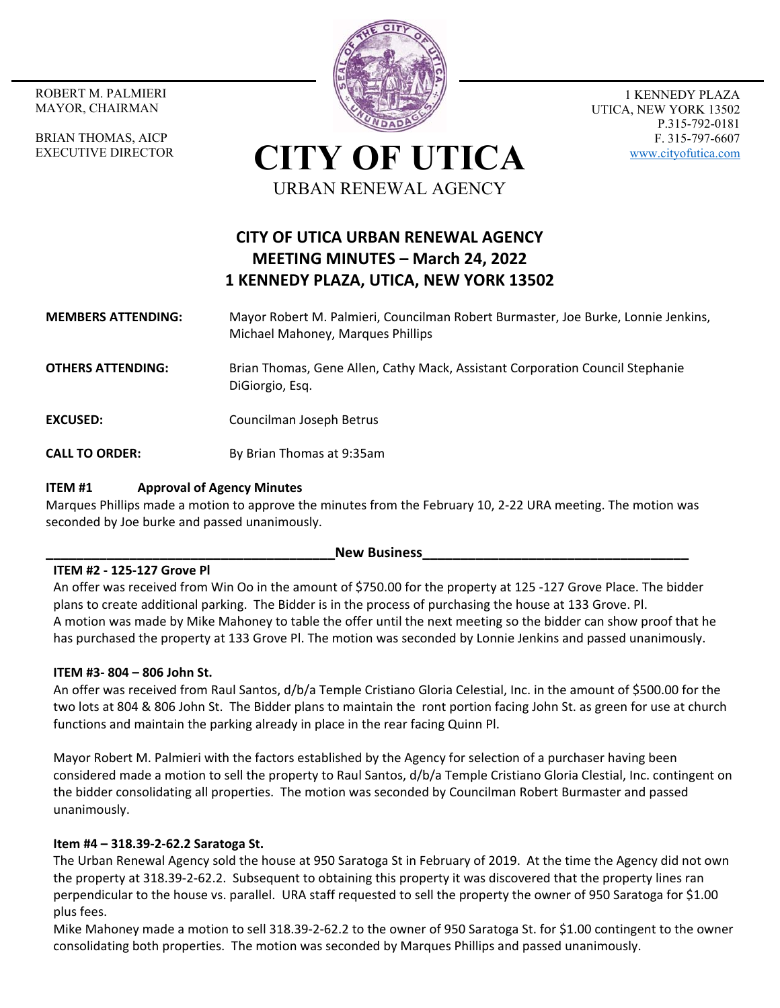MAYOR, CHAIRMAN

BRIAN THOMAS, AICP EXECUTIVE DIRECTOR



1 KENNEDY PLAZA UTICA, NEW YORK 13502 P.315-792-0181 F. 315-797-6607 www.cityofutica.com

**CITY OF UTICA** URBAN RENEWAL AGENCY

# **CITY OF UTICA URBAN RENEWAL AGENCY MEETING MINUTES – March 24, 2022 1 KENNEDY PLAZA, UTICA, NEW YORK 13502**

## **MEMBERS ATTENDING:**  Mayor Robert M. Palmieri, Councilman Robert Burmaster, Joe Burke, Lonnie Jenkins, Michael Mahoney, Marques Phillips

**OTHERS ATTENDING:** Brian Thomas, Gene Allen, Cathy Mack, Assistant Corporation Council Stephanie DiGiorgio, Esq.

**EXCUSED:** Councilman Joseph Betrus

**CALL TO ORDER:** By Brian Thomas at 9:35am

## **ITEM #1 Approval of Agency Minutes**

Marques Phillips made a motion to approve the minutes from the February 10, 2‐22 URA meeting. The motion was seconded by Joe burke and passed unanimously.

#### **New Business**

## **ITEM #2 ‐ 125‐127 Grove Pl**

An offer was received from Win Oo in the amount of \$750.00 for the property at 125 ‐127 Grove Place. The bidder plans to create additional parking. The Bidder is in the process of purchasing the house at 133 Grove. Pl. A motion was made by Mike Mahoney to table the offer until the next meeting so the bidder can show proof that he has purchased the property at 133 Grove Pl. The motion was seconded by Lonnie Jenkins and passed unanimously.

## **ITEM #3‐ 804 – 806 John St.**

An offer was received from Raul Santos, d/b/a Temple Cristiano Gloria Celestial, Inc. in the amount of \$500.00 for the two lots at 804 & 806 John St. The Bidder plans to maintain the ront portion facing John St. as green for use at church functions and maintain the parking already in place in the rear facing Quinn Pl.

Mayor Robert M. Palmieri with the factors established by the Agency for selection of a purchaser having been considered made a motion to sell the property to Raul Santos, d/b/a Temple Cristiano Gloria Clestial, Inc. contingent on the bidder consolidating all properties. The motion was seconded by Councilman Robert Burmaster and passed unanimously.

## **Item #4 – 318.39‐2‐62.2 Saratoga St.**

The Urban Renewal Agency sold the house at 950 Saratoga St in February of 2019. At the time the Agency did not own the property at 318.39‐2‐62.2. Subsequent to obtaining this property it was discovered that the property lines ran perpendicular to the house vs. parallel. URA staff requested to sell the property the owner of 950 Saratoga for \$1.00 plus fees.

Mike Mahoney made a motion to sell 318.39‐2‐62.2 to the owner of 950 Saratoga St. for \$1.00 contingent to the owner consolidating both properties. The motion was seconded by Marques Phillips and passed unanimously.